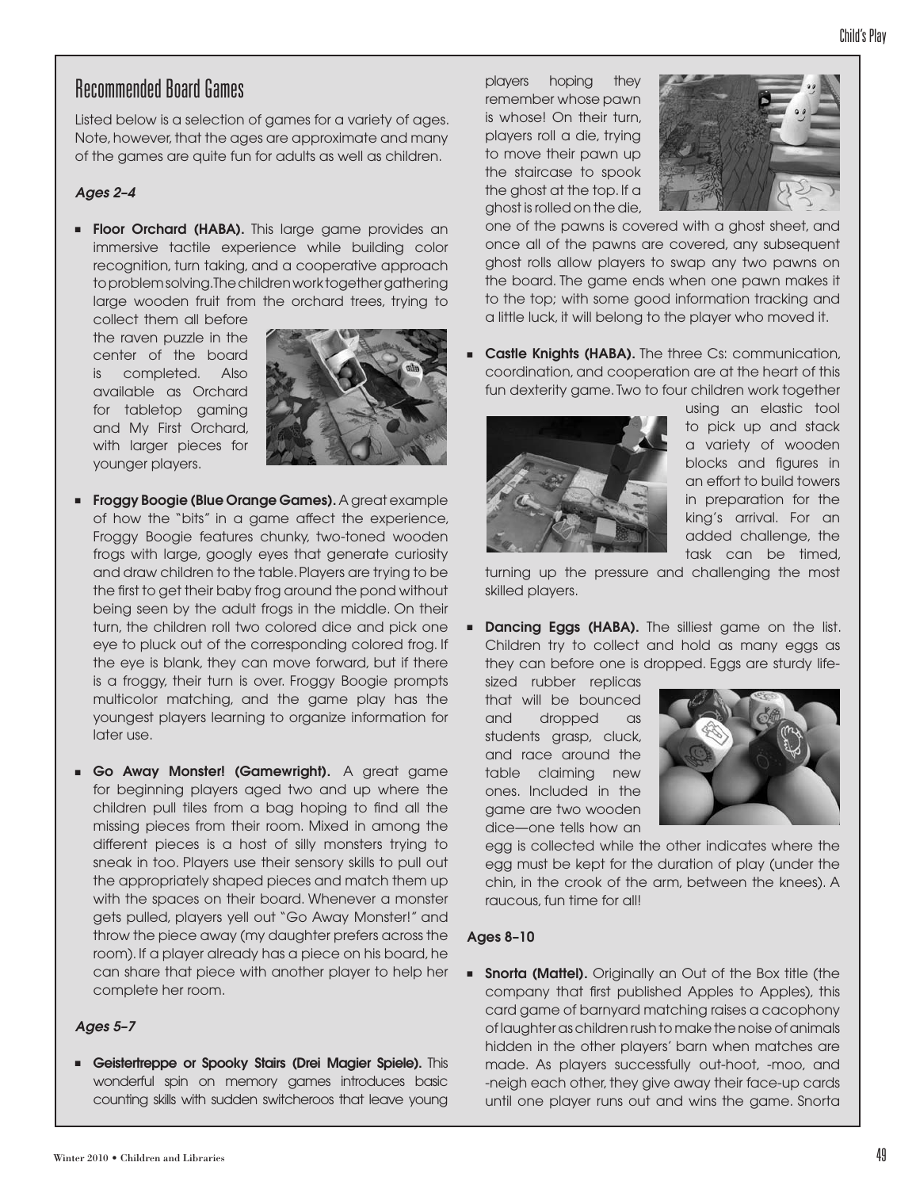# Recommended Board Games

Listed below is a selection of games for a variety of ages. Note, however, that the ages are approximate and many of the games are quite fun for adults as well as children.

### *Ages 2–4*

**Floor Orchard (HABA).** This large game provides an immersive tactile experience while building color recognition, turn taking, and a cooperative approach to problem solving. The children work together gathering large wooden fruit from the orchard trees, trying to

collect them all before the raven puzzle in the center of the board is completed. Also available as Orchard for tabletop gaming and My First Orchard, with larger pieces for younger players.



- **Froggy Boogie (Blue Orange Games).** A great example of how the "bits" in a game affect the experience, Froggy Boogie features chunky, two-toned wooden frogs with large, googly eyes that generate curiosity and draw children to the table. Players are trying to be the first to get their baby frog around the pond without being seen by the adult frogs in the middle. On their turn, the children roll two colored dice and pick one eye to pluck out of the corresponding colored frog. If the eye is blank, they can move forward, but if there is a froggy, their turn is over. Froggy Boogie prompts multicolor matching, and the game play has the youngest players learning to organize information for later use.
- Go Away Monster! (Gamewright). A great game for beginning players aged two and up where the children pull tiles from a bag hoping to find all the missing pieces from their room. Mixed in among the different pieces is a host of silly monsters trying to sneak in too. Players use their sensory skills to pull out the appropriately shaped pieces and match them up with the spaces on their board. Whenever a monster gets pulled, players yell out "Go Away Monster!" and throw the piece away (my daughter prefers across the room). If a player already has a piece on his board, he can share that piece with another player to help her complete her room.

#### *Ages 5–7*

■ Geistertreppe or Spooky Stairs (Drei Magier Spiele). This wonderful spin on memory games introduces basic counting skills with sudden switcheroos that leave young players hoping they remember whose pawn is whose! On their turn, players roll a die, trying to move their pawn up the staircase to spook the ghost at the top. If a ghost is rolled on the die,



one of the pawns is covered with a ghost sheet, and once all of the pawns are covered, any subsequent ghost rolls allow players to swap any two pawns on the board. The game ends when one pawn makes it to the top; with some good information tracking and a little luck, it will belong to the player who moved it.

**E** Castle Knights (HABA). The three Cs: communication, coordination, and cooperation are at the heart of this fun dexterity game. Two to four children work together



using an elastic tool to pick up and stack a variety of wooden blocks and figures in an effort to build towers in preparation for the king's arrival. For an added challenge, the task can be timed,

turning up the pressure and challenging the most skilled players.

**■ Dancing Eggs (HABA).** The silliest game on the list. Children try to collect and hold as many eggs as they can before one is dropped. Eggs are sturdy life-

sized rubber replicas that will be bounced and dropped as students grasp, cluck, and race around the table claiming new ones. Included in the game are two wooden dice—one tells how an



egg is collected while the other indicates where the egg must be kept for the duration of play (under the chin, in the crook of the arm, between the knees). A raucous, fun time for all!

#### Ages 8–10

**= Snorta (Mattel).** Originally an Out of the Box title (the company that first published Apples to Apples), this card game of barnyard matching raises a cacophony of laughter as children rush to make the noise of animals hidden in the other players' barn when matches are made. As players successfully out-hoot, -moo, and -neigh each other, they give away their face-up cards until one player runs out and wins the game. Snorta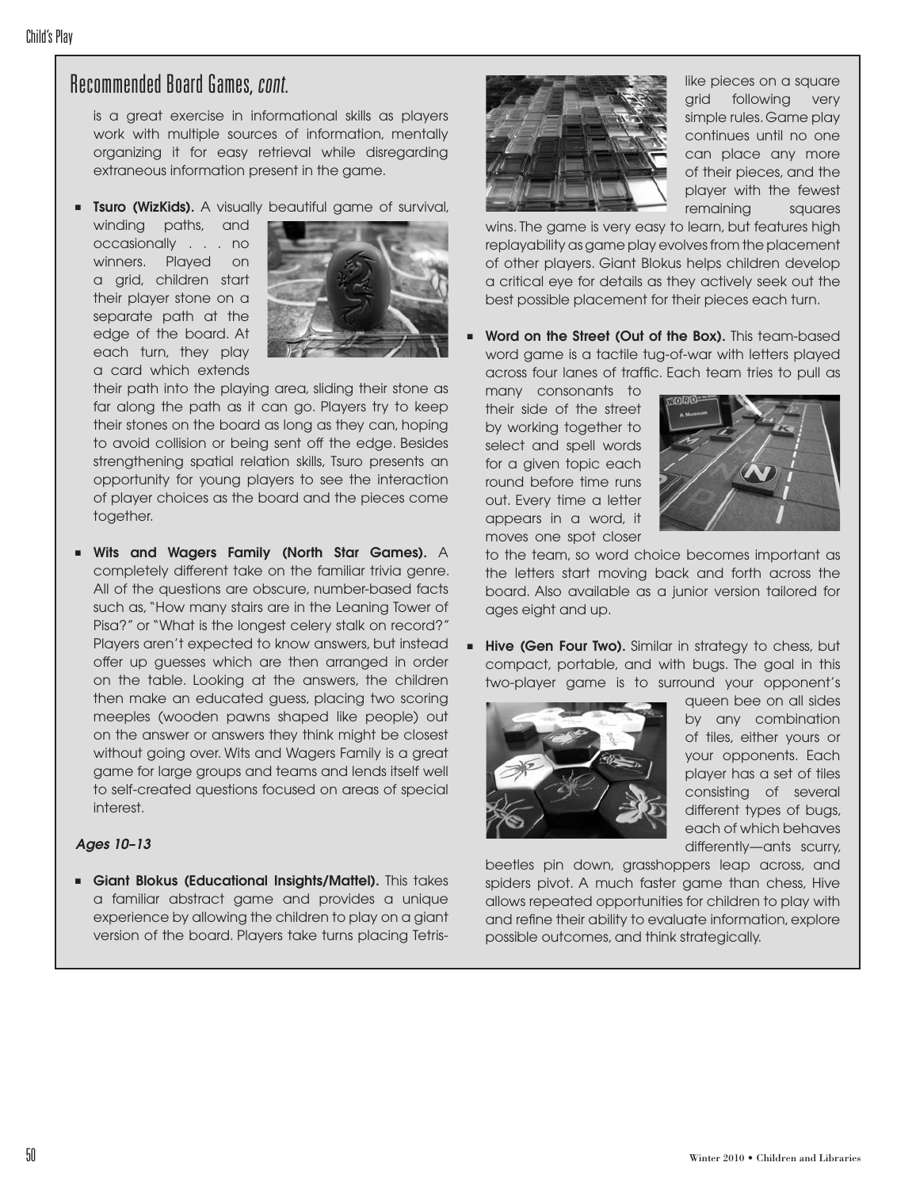## Recommended Board Games, cont.

is a great exercise in informational skills as players work with multiple sources of information, mentally organizing it for easy retrieval while disregarding extraneous information present in the game.

**Tsuro (WizKids).** A visually beautiful game of survival,

winding paths, and occasionally . . . no winners. Played on a grid, children start their player stone on a separate path at the edge of the board. At each turn, they play a card which extends



their path into the playing area, sliding their stone as far along the path as it can go. Players try to keep their stones on the board as long as they can, hoping to avoid collision or being sent off the edge. Besides strengthening spatial relation skills, Tsuro presents an opportunity for young players to see the interaction of player choices as the board and the pieces come together.

■ Wits and Wagers Family (North Star Games). A completely different take on the familiar trivia genre. All of the questions are obscure, number-based facts such as, "How many stairs are in the Leaning Tower of Pisa?" or "What is the longest celery stalk on record?" Players aren't expected to know answers, but instead offer up guesses which are then arranged in order on the table. Looking at the answers, the children then make an educated guess, placing two scoring meeples (wooden pawns shaped like people) out on the answer or answers they think might be closest without going over. Wits and Wagers Family is a great game for large groups and teams and lends itself well to self-created questions focused on areas of special interest.

#### *Ages 10–13*

■ Giant Blokus (Educational Insights/Mattel). This takes a familiar abstract game and provides a unique experience by allowing the children to play on a giant version of the board. Players take turns placing Tetris-



like pieces on a square grid following very simple rules. Game play continues until no one can place any more of their pieces, and the player with the fewest remaining squares

wins. The game is very easy to learn, but features high replayability as game play evolves from the placement of other players. Giant Blokus helps children develop a critical eye for details as they actively seek out the best possible placement for their pieces each turn.

Word on the Street (Out of the Box). This team-based word game is a tactile tug-of-war with letters played across four lanes of traffic. Each team tries to pull as

many consonants to their side of the street by working together to select and spell words for a given topic each round before time runs out. Every time a letter appears in a word, it moves one spot closer



to the team, so word choice becomes important as the letters start moving back and forth across the board. Also available as a junior version tailored for ages eight and up.

**■ Hive (Gen Four Two).** Similar in strategy to chess, but compact, portable, and with bugs. The goal in this two-player game is to surround your opponent's



queen bee on all sides by any combination of tiles, either yours or your opponents. Each player has a set of tiles consisting of several different types of bugs, each of which behaves differently—ants scurry,

beetles pin down, grasshoppers leap across, and spiders pivot. A much faster game than chess, Hive allows repeated opportunities for children to play with and refine their ability to evaluate information, explore possible outcomes, and think strategically.